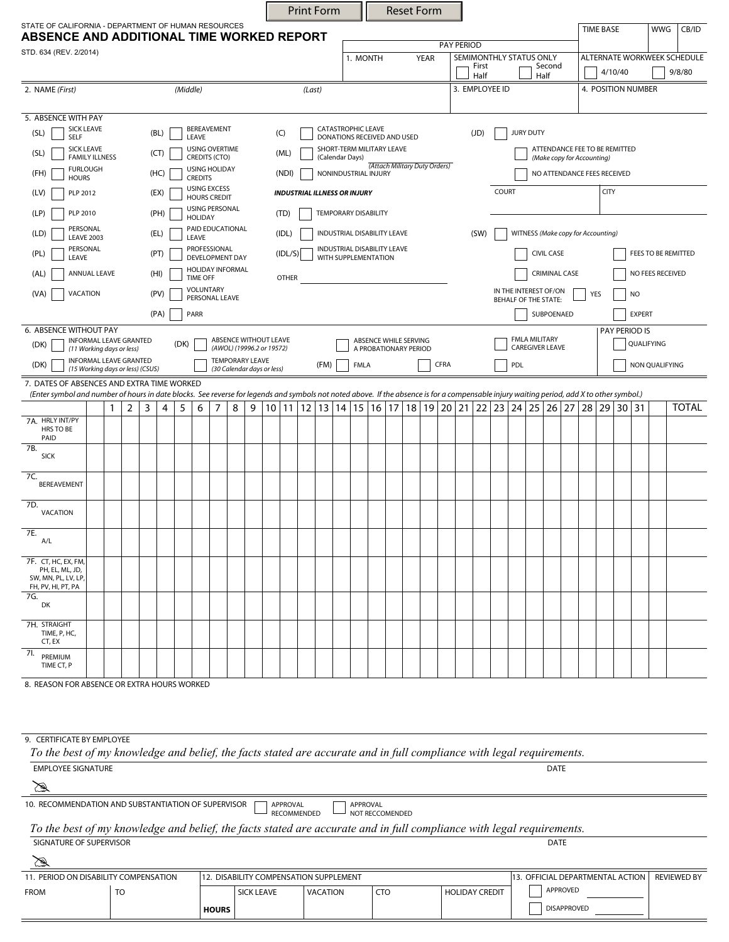|                                                                                                                                                                                           |                                            |                 |                             |                                            |              |                                                              |                             |                           |                 |          |                      | <b>Print Form</b>                                |                   |                                                          |                   |  |      | <b>Reset Form</b> |                                                      |                                  |                  |                                                       |               |                  |                             |                             |                    |                  |  |                    |     |              |
|-------------------------------------------------------------------------------------------------------------------------------------------------------------------------------------------|--------------------------------------------|-----------------|-----------------------------|--------------------------------------------|--------------|--------------------------------------------------------------|-----------------------------|---------------------------|-----------------|----------|----------------------|--------------------------------------------------|-------------------|----------------------------------------------------------|-------------------|--|------|-------------------|------------------------------------------------------|----------------------------------|------------------|-------------------------------------------------------|---------------|------------------|-----------------------------|-----------------------------|--------------------|------------------|--|--------------------|-----|--------------|
| STATE OF CALIFORNIA - DEPARTMENT OF HUMAN RESOURCES                                                                                                                                       |                                            |                 |                             |                                            |              |                                                              |                             |                           |                 |          |                      |                                                  |                   |                                                          |                   |  |      |                   |                                                      |                                  |                  |                                                       |               |                  |                             |                             |                    | <b>TIME BASE</b> |  |                    | WWG | CB/ID        |
| ABSENCE AND ADDITIONAL TIME WORKED REPORT<br>STD. 634 (REV. 2/2014)                                                                                                                       |                                            |                 |                             |                                            |              |                                                              |                             |                           |                 |          |                      |                                                  | <b>PAY PERIOD</b> |                                                          |                   |  |      |                   |                                                      |                                  |                  |                                                       |               |                  |                             |                             |                    |                  |  |                    |     |              |
|                                                                                                                                                                                           |                                            |                 |                             |                                            |              |                                                              |                             |                           |                 |          |                      |                                                  |                   | 1. MONTH<br><b>YEAR</b>                                  |                   |  |      |                   |                                                      | First                            |                  | SEMIMONTHLY STATUS ONLY<br>Second                     |               |                  |                             | ALTERNATE WORKWEEK SCHEDULE |                    |                  |  |                    |     |              |
|                                                                                                                                                                                           |                                            |                 |                             |                                            |              |                                                              |                             |                           |                 |          |                      |                                                  |                   |                                                          |                   |  |      |                   |                                                      |                                  | Half             | Half                                                  |               |                  |                             |                             | 4/10/40            |                  |  |                    |     | 9/8/80       |
| (Middle)<br>2. NAME (First)                                                                                                                                                               |                                            |                 |                             |                                            |              |                                                              |                             |                           |                 |          | (Last)               |                                                  |                   |                                                          |                   |  |      |                   |                                                      |                                  |                  | 3. EMPLOYEE ID                                        |               |                  |                             |                             | 4. POSITION NUMBER |                  |  |                    |     |              |
| 5. ABSENCE WITH PAY                                                                                                                                                                       |                                            |                 |                             |                                            |              |                                                              |                             |                           |                 |          |                      |                                                  |                   |                                                          |                   |  |      |                   |                                                      |                                  |                  |                                                       |               |                  |                             |                             |                    |                  |  |                    |     |              |
| <b>SICK LEAVE</b><br>(SL)<br><b>SELF</b>                                                                                                                                                  |                                            |                 | (BL)                        |                                            | LEAVE        | BEREAVEMENT                                                  |                             |                           |                 | (C)      |                      |                                                  |                   | <b>CATASTROPHIC LEAVE</b><br>DONATIONS RECEIVED AND USED |                   |  |      |                   |                                                      |                                  | (JD)             | <b>JURY DUTY</b>                                      |               |                  |                             |                             |                    |                  |  |                    |     |              |
| <b>SICK LEAVE</b><br>(SL)                                                                                                                                                                 | (CT)                                       |                 |                             | USING OVERTIME                             |              |                                                              |                             | (ML)                      |                 |          |                      | SHORT-TERM MILITARY LEAVE                        |                   |                                                          |                   |  |      |                   |                                                      | ATTENDANCE FEE TO BE REMITTED    |                  |                                                       |               |                  |                             |                             |                    |                  |  |                    |     |              |
| <b>FAMILY ILLNESS</b><br><b>FURLOUGH</b>                                                                                                                                                  |                                            |                 |                             | CREDITS (CTO)<br><b>USING HOLIDAY</b>      |              |                                                              |                             |                           |                 |          |                      | (Calendar Days)<br>(Attach Military Duty Orders) |                   |                                                          |                   |  |      |                   |                                                      | (Make copy for Accounting)       |                  |                                                       |               |                  |                             |                             |                    |                  |  |                    |     |              |
| (FH)<br><b>HOURS</b>                                                                                                                                                                      | (HC)                                       |                 | <b>CREDITS</b>              |                                            |              |                                                              |                             | (NDI)                     |                 |          |                      | NONINDUSTRIAL INJURY                             |                   |                                                          |                   |  |      |                   |                                                      |                                  |                  |                                                       |               |                  | NO ATTENDANCE FEES RECEIVED |                             |                    |                  |  |                    |     |              |
| PLP 2012<br>(LV)                                                                                                                                                                          | (EX)                                       |                 |                             | <b>USING EXCESS</b><br><b>HOURS CREDIT</b> |              |                                                              |                             |                           |                 |          |                      | <b>INDUSTRIAL ILLNESS OR INJURY</b>              |                   |                                                          |                   |  |      |                   |                                                      | COURT                            |                  |                                                       |               |                  | <b>CITY</b>                 |                             |                    |                  |  |                    |     |              |
| (LP)<br>PLP 2010                                                                                                                                                                          | (PH)                                       |                 |                             |                                            |              |                                                              |                             |                           |                 | (TD)     |                      |                                                  |                   | <b>TEMPORARY DISABILITY</b>                              |                   |  |      |                   |                                                      |                                  |                  |                                                       |               |                  |                             |                             |                    |                  |  |                    |     |              |
| PERSONAL<br>(LD)                                                                                                                                                                          | (EL)<br><b>LEAVE 2003</b>                  |                 |                             |                                            |              |                                                              |                             | PAID EDUCATIONAL<br>LEAVE |                 |          |                      |                                                  |                   | INDUSTRIAL DISABILITY LEAVE                              |                   |  |      |                   |                                                      |                                  | (SW)             | WITNESS (Make copy for Accounting)                    |               |                  |                             |                             |                    |                  |  |                    |     |              |
| PERSONAL<br>(PL)                                                                                                                                                                          | PROFESSIONAL                               |                 | (IDL/S)                     |                                            |              |                                                              | INDUSTRIAL DISABILITY LEAVE |                           |                 |          |                      |                                                  |                   |                                                          | <b>CIVIL CASE</b> |  |      |                   |                                                      | FEES TO BE REMITTED              |                  |                                                       |               |                  |                             |                             |                    |                  |  |                    |     |              |
| LEAVE                                                                                                                                                                                     | <b>DEVELOPMENT DAY</b><br>HOLIDAY INFORMAL |                 |                             |                                            |              |                                                              |                             |                           |                 |          | WITH SUPPLEMENTATION |                                                  |                   |                                                          |                   |  |      |                   | <b>CRIMINAL CASE</b>                                 |                                  |                  |                                                       |               |                  |                             |                             |                    |                  |  |                    |     |              |
| (AL)<br>ANNUAL LEAVE                                                                                                                                                                      |                                            | <b>TIME OFF</b> |                             |                                            |              | <b>OTHER</b>                                                 |                             |                           |                 |          |                      |                                                  |                   |                                                          |                   |  |      |                   |                                                      |                                  | NO FEES RECEIVED |                                                       |               |                  |                             |                             |                    |                  |  |                    |     |              |
| VACATION<br>(VA)                                                                                                                                                                          |                                            |                 | VOLUNTARY<br>PERSONAL LEAVE |                                            |              |                                                              |                             |                           |                 |          |                      |                                                  |                   |                                                          |                   |  |      |                   | IN THE INTEREST OF/ON<br><b>BEHALF OF THE STATE:</b> |                                  |                  |                                                       |               | YES<br><b>NO</b> |                             |                             |                    |                  |  |                    |     |              |
|                                                                                                                                                                                           |                                            | PARR            |                             |                                            |              |                                                              |                             |                           |                 |          |                      |                                                  |                   |                                                          |                   |  |      |                   | SUBPOENAED                                           |                                  |                  |                                                       | <b>EXPERT</b> |                  |                             |                             |                    |                  |  |                    |     |              |
| 6. ABSENCE WITHOUT PAY                                                                                                                                                                    |                                            |                 |                             |                                            |              |                                                              | ABSENCE WITHOUT LEAVE       |                           |                 |          |                      |                                                  |                   |                                                          |                   |  |      |                   |                                                      | <b>FMLA MILITARY</b>             |                  |                                                       |               |                  | PAY PERIOD IS               |                             |                    |                  |  |                    |     |              |
| INFORMAL LEAVE GRANTED<br>(DK)<br>(11 Working days or less)                                                                                                                               |                                            | (DK)            |                             |                                            |              |                                                              | (AWOL) (19996.2 or 19572)   |                           |                 |          |                      | ABSENCE WHILE SERVING<br>A PROBATIONARY PERIOD   |                   |                                                          |                   |  |      |                   |                                                      | <b>CAREGIVER LEAVE</b>           |                  |                                                       |               | QUALIFYING       |                             |                             |                    |                  |  |                    |     |              |
| INFORMAL LEAVE GRANTED<br>(DK)<br>(15 Working days or less) (CSUS)                                                                                                                        |                                            |                 |                             |                                            |              | <b>TEMPORARY LEAVE</b><br>(FM)<br>(30 Calendar days or less) |                             |                           |                 |          |                      | <b>FMLA</b>                                      |                   |                                                          |                   |  | CFRA |                   |                                                      | PDL                              |                  |                                                       |               |                  |                             |                             |                    | NON QUALIFYING   |  |                    |     |              |
| 7. DATES OF ABSENCES AND EXTRA TIME WORKED                                                                                                                                                |                                            |                 |                             |                                            |              |                                                              |                             |                           |                 |          |                      |                                                  |                   |                                                          |                   |  |      |                   |                                                      |                                  |                  |                                                       |               |                  |                             |                             |                    |                  |  |                    |     |              |
| (Enter symbol and number of hours in date blocks. See reverse for legends and symbols not noted above. If the absence is for a compensable injury waiting period, add X to other symbol.) |                                            |                 |                             |                                            | 6            | 7                                                            |                             |                           |                 |          |                      |                                                  |                   |                                                          |                   |  |      |                   |                                                      |                                  |                  |                                                       |               |                  |                             |                             |                    |                  |  |                    |     | <b>TOTAL</b> |
| 7A. HRLY INT/PY                                                                                                                                                                           | 2<br>1                                     | 3               | 4                           | 5                                          |              |                                                              | 8                           | 9                         |                 |          |                      |                                                  |                   |                                                          |                   |  |      |                   |                                                      |                                  |                  | 10 11 12 13 14 15 16 17 18 19 20 21 22 23 24 25 26 27 |               |                  |                             |                             | 28 29 30 31        |                  |  |                    |     |              |
| HRS TO BE<br>PAID                                                                                                                                                                         |                                            |                 |                             |                                            |              |                                                              |                             |                           |                 |          |                      |                                                  |                   |                                                          |                   |  |      |                   |                                                      |                                  |                  |                                                       |               |                  |                             |                             |                    |                  |  |                    |     |              |
| 7B.<br><b>SICK</b>                                                                                                                                                                        |                                            |                 |                             |                                            |              |                                                              |                             |                           |                 |          |                      |                                                  |                   |                                                          |                   |  |      |                   |                                                      |                                  |                  |                                                       |               |                  |                             |                             |                    |                  |  |                    |     |              |
| 7C.                                                                                                                                                                                       |                                            |                 |                             |                                            |              |                                                              |                             |                           |                 |          |                      |                                                  |                   |                                                          |                   |  |      |                   |                                                      |                                  |                  |                                                       |               |                  |                             |                             |                    |                  |  |                    |     |              |
| BEREAVEMENT                                                                                                                                                                               |                                            |                 |                             |                                            |              |                                                              |                             |                           |                 |          |                      |                                                  |                   |                                                          |                   |  |      |                   |                                                      |                                  |                  |                                                       |               |                  |                             |                             |                    |                  |  |                    |     |              |
| 7D.<br>VACATION                                                                                                                                                                           |                                            |                 |                             |                                            |              |                                                              |                             |                           |                 |          |                      |                                                  |                   |                                                          |                   |  |      |                   |                                                      |                                  |                  |                                                       |               |                  |                             |                             |                    |                  |  |                    |     |              |
|                                                                                                                                                                                           |                                            |                 |                             |                                            |              |                                                              |                             |                           |                 |          |                      |                                                  |                   |                                                          |                   |  |      |                   |                                                      |                                  |                  |                                                       |               |                  |                             |                             |                    |                  |  |                    |     |              |
| 7E.<br>A/L                                                                                                                                                                                |                                            |                 |                             |                                            |              |                                                              |                             |                           |                 |          |                      |                                                  |                   |                                                          |                   |  |      |                   |                                                      |                                  |                  |                                                       |               |                  |                             |                             |                    |                  |  |                    |     |              |
| 7F. CT, HC, EX, FM,                                                                                                                                                                       |                                            |                 |                             |                                            |              |                                                              |                             |                           |                 |          |                      |                                                  |                   |                                                          |                   |  |      |                   |                                                      |                                  |                  |                                                       |               |                  |                             |                             |                    |                  |  |                    |     |              |
| PH, EL, ML, JD,<br>SW, MN, PL, LV, LP                                                                                                                                                     |                                            |                 |                             |                                            |              |                                                              |                             |                           |                 |          |                      |                                                  |                   |                                                          |                   |  |      |                   |                                                      |                                  |                  |                                                       |               |                  |                             |                             |                    |                  |  |                    |     |              |
| FH, PV, HI, PT, PA<br>7G.                                                                                                                                                                 |                                            |                 |                             |                                            |              |                                                              |                             |                           |                 |          |                      |                                                  |                   |                                                          |                   |  |      |                   |                                                      |                                  |                  |                                                       |               |                  |                             |                             |                    |                  |  |                    |     |              |
| DK                                                                                                                                                                                        |                                            |                 |                             |                                            |              |                                                              |                             |                           |                 |          |                      |                                                  |                   |                                                          |                   |  |      |                   |                                                      |                                  |                  |                                                       |               |                  |                             |                             |                    |                  |  |                    |     |              |
| 7H. STRAIGHT<br>TIME, P, HC,                                                                                                                                                              |                                            |                 |                             |                                            |              |                                                              |                             |                           |                 |          |                      |                                                  |                   |                                                          |                   |  |      |                   |                                                      |                                  |                  |                                                       |               |                  |                             |                             |                    |                  |  |                    |     |              |
| CT, EX<br>71.                                                                                                                                                                             |                                            |                 |                             |                                            |              |                                                              |                             |                           |                 |          |                      |                                                  |                   |                                                          |                   |  |      |                   |                                                      |                                  |                  |                                                       |               |                  |                             |                             |                    |                  |  |                    |     |              |
| PREMIUM<br>TIME CT, P                                                                                                                                                                     |                                            |                 |                             |                                            |              |                                                              |                             |                           |                 |          |                      |                                                  |                   |                                                          |                   |  |      |                   |                                                      |                                  |                  |                                                       |               |                  |                             |                             |                    |                  |  |                    |     |              |
| 8. REASON FOR ABSENCE OR EXTRA HOURS WORKED                                                                                                                                               |                                            |                 |                             |                                            |              |                                                              |                             |                           |                 |          |                      |                                                  |                   |                                                          |                   |  |      |                   |                                                      |                                  |                  |                                                       |               |                  |                             |                             |                    |                  |  |                    |     |              |
|                                                                                                                                                                                           |                                            |                 |                             |                                            |              |                                                              |                             |                           |                 |          |                      |                                                  |                   |                                                          |                   |  |      |                   |                                                      |                                  |                  |                                                       |               |                  |                             |                             |                    |                  |  |                    |     |              |
|                                                                                                                                                                                           |                                            |                 |                             |                                            |              |                                                              |                             |                           |                 |          |                      |                                                  |                   |                                                          |                   |  |      |                   |                                                      |                                  |                  |                                                       |               |                  |                             |                             |                    |                  |  |                    |     |              |
| 9. CERTIFICATE BY EMPLOYEE                                                                                                                                                                |                                            |                 |                             |                                            |              |                                                              |                             |                           |                 |          |                      |                                                  |                   |                                                          |                   |  |      |                   |                                                      |                                  |                  |                                                       |               |                  |                             |                             |                    |                  |  |                    |     |              |
| To the best of my knowledge and belief, the facts stated are accurate and in full compliance with legal requirements.                                                                     |                                            |                 |                             |                                            |              |                                                              |                             |                           |                 |          |                      |                                                  |                   |                                                          |                   |  |      |                   |                                                      |                                  |                  |                                                       |               |                  |                             |                             |                    |                  |  |                    |     |              |
| <b>EMPLOYEE SIGNATURE</b>                                                                                                                                                                 |                                            |                 |                             |                                            |              |                                                              |                             |                           |                 |          |                      |                                                  |                   |                                                          |                   |  |      |                   |                                                      |                                  |                  |                                                       |               |                  | <b>DATE</b>                 |                             |                    |                  |  |                    |     |              |
| ⊠                                                                                                                                                                                         |                                            |                 |                             |                                            |              |                                                              |                             |                           |                 |          |                      |                                                  |                   |                                                          |                   |  |      |                   |                                                      |                                  |                  |                                                       |               |                  |                             |                             |                    |                  |  |                    |     |              |
| 10. RECOMMENDATION AND SUBSTANTIATION OF SUPERVISOR                                                                                                                                       |                                            |                 |                             |                                            |              |                                                              |                             |                           |                 | APPROVAL |                      |                                                  |                   |                                                          | APPROVAL          |  |      |                   |                                                      |                                  |                  |                                                       |               |                  |                             |                             |                    |                  |  |                    |     |              |
| To the best of my knowledge and belief, the facts stated are accurate and in full compliance with legal requirements.                                                                     |                                            |                 |                             |                                            |              |                                                              |                             |                           |                 |          | <b>RECOMMENDED</b>   |                                                  |                   |                                                          | NOT RECCOMENDED   |  |      |                   |                                                      |                                  |                  |                                                       |               |                  |                             |                             |                    |                  |  |                    |     |              |
| SIGNATURE OF SUPERVISOR                                                                                                                                                                   |                                            |                 |                             |                                            |              |                                                              |                             |                           |                 |          |                      |                                                  |                   |                                                          |                   |  |      |                   |                                                      |                                  |                  |                                                       |               |                  | DATE                        |                             |                    |                  |  |                    |     |              |
| ⊠                                                                                                                                                                                         |                                            |                 |                             |                                            |              |                                                              |                             |                           |                 |          |                      |                                                  |                   |                                                          |                   |  |      |                   |                                                      |                                  |                  |                                                       |               |                  |                             |                             |                    |                  |  |                    |     |              |
| 11. PERIOD ON DISABILITY COMPENSATION                                                                                                                                                     |                                            |                 |                             |                                            |              | 12. DISABILITY COMPENSATION SUPPLEMENT                       |                             |                           |                 |          |                      |                                                  |                   |                                                          |                   |  |      |                   |                                                      | 13. OFFICIAL DEPARTMENTAL ACTION |                  |                                                       |               |                  |                             |                             |                    |                  |  | <b>REVIEWED BY</b> |     |              |
| <b>FROM</b>                                                                                                                                                                               |                                            |                 |                             |                                            |              |                                                              |                             | <b>SICK LEAVE</b>         | <b>VACATION</b> |          |                      |                                                  |                   | <b>CTO</b>                                               |                   |  |      |                   | <b>HOLIDAY CREDIT</b>                                |                                  | APPROVED         |                                                       |               |                  |                             |                             |                    |                  |  |                    |     |              |
|                                                                                                                                                                                           |                                            |                 |                             |                                            | <b>HOURS</b> |                                                              |                             |                           |                 |          |                      |                                                  |                   |                                                          |                   |  |      |                   |                                                      | <b>DISAPPROVED</b>               |                  |                                                       |               |                  |                             |                             |                    |                  |  |                    |     |              |
|                                                                                                                                                                                           |                                            |                 |                             |                                            |              |                                                              |                             |                           |                 |          |                      |                                                  |                   |                                                          |                   |  |      |                   |                                                      |                                  |                  |                                                       |               |                  |                             |                             |                    |                  |  |                    |     |              |